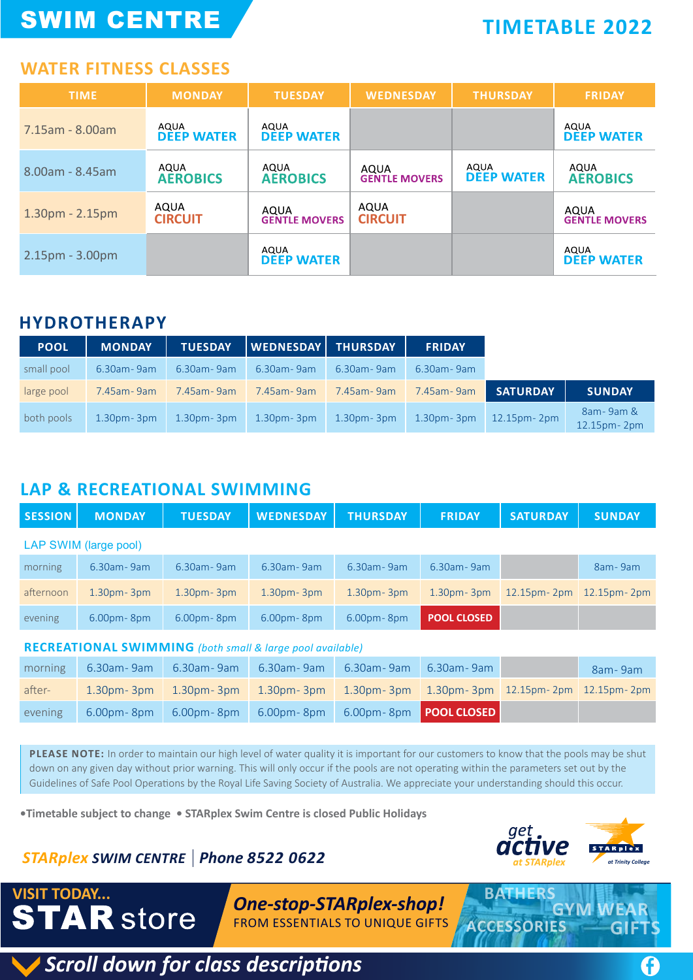# SWIM CENTRE

## **TIMETABLE 2022**

### **WATER FITNESS CLASSES**

| <b>TIME</b>           | <b>MONDAY</b>             | <b>TUESDAY</b>               | <b>WEDNESDAY</b>             | <b>THURSDAY</b>           | <b>FRIDAY</b>                |
|-----------------------|---------------------------|------------------------------|------------------------------|---------------------------|------------------------------|
| 7.15am - 8.00am       | AQUA<br><b>DEEP WATER</b> | AQUA<br><b>DEEP WATER</b>    |                              |                           | AQUA<br><b>DEEP WATER</b>    |
| $8.00$ am - $8.45$ am | AQUA<br><b>AEROBICS</b>   | AQUA<br><b>AEROBICS</b>      | AQUA<br><b>GENTLE MOVERS</b> | AQUA<br><b>DEEP WATER</b> | AQUA<br><b>AEROBICS</b>      |
| $1.30pm - 2.15pm$     | AQUA<br><b>CIRCUIT</b>    | AQUA<br><b>GENTLE MOVERS</b> | AQUA<br><b>CIRCUIT</b>       |                           | AQUA<br><b>GENTLE MOVERS</b> |
| 2.15pm - 3.00pm       |                           | AQUA<br><b>DEEP WATER</b>    |                              |                           | AQUA<br><b>DEEP WATER</b>    |

#### **HYDROTHERAPY**

| <b>POOL</b> | <b>MONDAY</b>  | <b>TUESDAY</b> | WEDNESDAY      | <b>THURSDAY</b> | <b>FRIDAY</b>  |                 |                              |
|-------------|----------------|----------------|----------------|-----------------|----------------|-----------------|------------------------------|
| small pool  | 6.30am - 9am   | 6.30am - 9am   | 6.30am - 9am   | 6.30am - 9am    | 6.30am - 9am   |                 |                              |
| large pool  | 7.45am - 9am   | 7.45am - 9am   | 7.45am - 9am   | 7.45am - 9am    | 7.45am - 9am   | <b>SATURDAY</b> | <b>SUNDAY</b>                |
| both pools  | $1.30pm - 3pm$ | $1.30pm - 3pm$ | $1.30pm - 3pm$ | $1.30pm - 3pm$  | $1.30pm - 3pm$ | 12.15pm - 2pm   | 8am-9am &<br>$12.15pm - 2pm$ |

### **LAP & RECREATIONAL SWIMMING**

| <b>SESSION</b> | <b>MONDAY</b>         | <b>TUESDAY</b> | <b>WEDNESDAY</b> | <b>THURSDAY</b> | <b>FRIDAY</b>      | <b>SATURDAY</b> | <b>SUNDAY</b>       |
|----------------|-----------------------|----------------|------------------|-----------------|--------------------|-----------------|---------------------|
|                | LAP SWIM (large pool) |                |                  |                 |                    |                 |                     |
| morning        | 6.30am - 9am          | 6.30am - 9am   | 6.30am - 9am     | 6.30am - 9am    | 6.30am - 9am       |                 | 8am-9am             |
| afternoon      | $1.30pm - 3pm$        | $1.30pm - 3pm$ | $1.30pm - 3pm$   | $1.30pm - 3pm$  | $1.30pm - 3pm$     | 12.15pm - 2pm   | $12.15$ pm - $2$ pm |
| evening        | $6.00pm$ - 8pm        | $6.00pm - 8pm$ | $6.00pm$ - 8pm   | $6.00pm$ - 8pm  | <b>POOL CLOSED</b> |                 |                     |

#### **RECREATIONAL SWIMMING** *(both small & large pool available)*

| morning | 6.30am- 9am | 6.30am- 9am  | 6.30am- 9am                                                        | $6.30$ am - 9am                                                   | 6.30am- 9am | 8am-9am |
|---------|-------------|--------------|--------------------------------------------------------------------|-------------------------------------------------------------------|-------------|---------|
| after-  |             |              | $1.30 \text{pm}$ 3pm   $1.30 \text{pm}$ 3pm   $1.30 \text{pm}$ 3pm | $1.30$ pm - 3pm $1.30$ pm - 3pm $12.15$ pm - 2pm $12.15$ pm - 2pm |             |         |
| evening | 6.00pm-8pm  | 6.00pm - 8pm | 6.00pm- 8pm                                                        | 6.00pm-8pm <b>POOL CLOSED</b>                                     |             |         |

**PLEASE NOTE:** In order to maintain our high level of water quality it is important for our customers to know that the pools may be shut down on any given day without prior warning. This will only occur if the pools are not operating within the parameters set out by the Guidelines of Safe Pool Operations by the Royal Life Saving Society of Australia. We appreciate your understanding should this occur.

**•Timetable subject to change • STARplex Swim Centre is closed Public Holidays**

## *STARplex SWIM CENTRE Phone 8522 0622*



**ACCESSORIES GIFTS**

**GYM WEAR**

## *One-stop-STARplex-shop!* **VISIT TODAY... BATHERS** FROM ESSENTIALS TO UNIQUE GIFTS

*Scroll down for class descriptions*